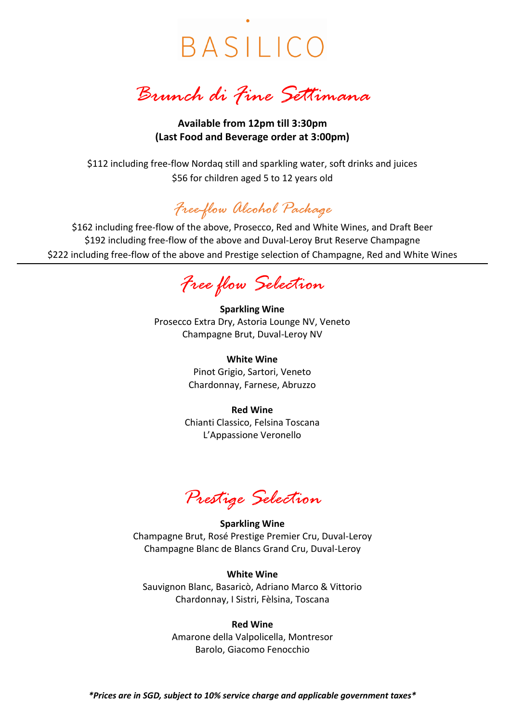BASILICO

*Brunch di Fine Settimana*

**Available from 12pm till 3:30pm (Last Food and Beverage order at 3:00pm)**

\$112 including free-flow Nordaq still and sparkling water, soft drinks and juices \$56 for children aged 5 to 12 years old

# *Free-flow Alcohol Package*

\$162 including free-flow of the above, Prosecco, Red and White Wines, and Draft Beer \$192 including free-flow of the above and Duval-Leroy Brut Reserve Champagne \$222 including free-flow of the above and Prestige selection of Champagne, Red and White Wines

*Free flow Selection*

**Sparkling Wine** Prosecco Extra Dry, Astoria Lounge NV, Veneto Champagne Brut, Duval-Leroy NV

> **White Wine** Pinot Grigio, Sartori, Veneto Chardonnay, Farnese, Abruzzo

**Red Wine** Chianti Classico, Felsina Toscana L'Appassione Veronello

*Prestige Selection*

**Sparkling Wine** Champagne Brut, Rosé Prestige Premier Cru, Duval-Leroy Champagne Blanc de Blancs Grand Cru, Duval-Leroy

**White Wine** Sauvignon Blanc, Basaricò, Adriano Marco & Vittorio Chardonnay, I Sistri, Fèlsina, Toscana

#### **Red Wine**

Amarone della Valpolicella, Montresor Barolo, Giacomo Fenocchio

*\*Prices are in SGD, subject to 10% service charge and applicable government taxes\**